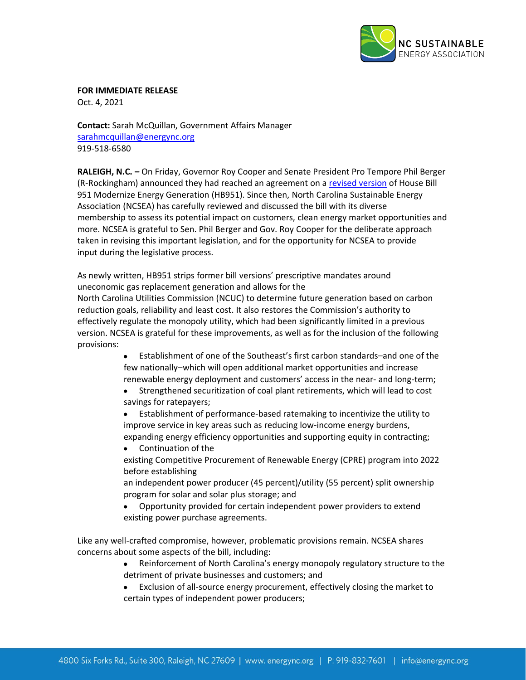

**FOR IMMEDIATE RELEASE**

Oct. 4, 2021

**Contact:** Sarah McQuillan, Government Affairs Manager [sarahmcquillan@energync.org](mailto:sarahmcquillan@energync.org) 919-518-6580

**RALEIGH, N.C. –** On Friday, Governor Roy Cooper and Senate President Pro Tempore Phil Berger (R-Rockingham) announced they had reached an agreement on a [revised version](https://www.ncleg.gov/documentsites/committees/Senate2021-1162/10-05-21/H951-PCS10540-RI-34.pdf) of House Bill 951 Modernize Energy Generation (HB951). Since then, North Carolina Sustainable Energy Association (NCSEA) has carefully reviewed and discussed the bill with its diverse membership to assess its potential impact on customers, clean energy market opportunities and more. NCSEA is grateful to Sen. Phil Berger and Gov. Roy Cooper for the deliberate approach taken in revising this important legislation, and for the opportunity for NCSEA to provide input during the legislative process.

As newly written, HB951 strips former bill versions' prescriptive mandates around uneconomic gas replacement generation and allows for the

North Carolina Utilities Commission (NCUC) to determine future generation based on carbon reduction goals, reliability and least cost. It also restores the Commission's authority to effectively regulate the monopoly utility, which had been significantly limited in a previous version. NCSEA is grateful for these improvements, as well as for the inclusion of the following provisions:

- Establishment of one of the Southeast's first carbon standards–and one of the few nationally–which will open additional market opportunities and increase renewable energy deployment and customers' access in the near- and long-term;
- Strengthened securitization of coal plant retirements, which will lead to cost  $\bullet$ savings for ratepayers;
- Establishment of performance-based ratemaking to incentivize the utility to  $\bullet$ improve service in key areas such as reducing low-income energy burdens, expanding energy efficiency opportunities and supporting equity in contracting;

 $\bullet$ Continuation of the existing Competitive Procurement of Renewable Energy (CPRE) program into 2022 before establishing

an independent power producer (45 percent)/utility (55 percent) split ownership program for solar and solar plus storage; and

Opportunity provided for certain independent power providers to extend existing power purchase agreements.

Like any well-crafted compromise, however, problematic provisions remain. NCSEA shares concerns about some aspects of the bill, including:

- Reinforcement of North Carolina's energy monopoly regulatory structure to the  $\bullet$ detriment of private businesses and customers; and
- Exclusion of all-source energy procurement, effectively closing the market to certain types of independent power producers;